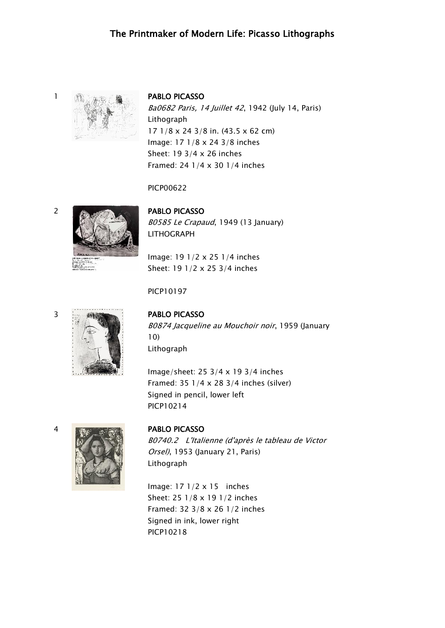## The Printmaker of Modern Life: Picasso Lithographs



Ba0682 Paris, 14 Juillet 42, 1942 (July 14, Paris) Lithograph 17 1/8 x 24 3/8 in. (43.5 x 62 cm) Image: 17 1/8 x 24 3/8 inches Sheet: 19 3/4 x 26 inches Framed: 24 1/4 x 30 1/4 inches

### PICP00622

## 2 **PABLO PICASSO**

B0585 Le Crapaud, 1949 (13 January) LITHOGRAPH

Image: 19 1/2 x 25 1/4 inches Sheet: 19 1/2 x 25 3/4 inches

### PICP10197

## 3 PABLO PICASSO

B0874 Jacqueline au Mouchoir noir, 1959 (January 10) Lithograph

Image/sheet: 25 3/4 x 19 3/4 inches Framed: 35 1/4 x 28 3/4 inches (silver) Signed in pencil, lower left PICP10214



B0740.2 L'Italienne (d'après le tableau de Victor Orsel), 1953 (January 21, Paris) Lithograph

Image: 17 1/2 x 15 inches Sheet: 25 1/8 x 19 1/2 inches Framed: 32 3/8 x 26 1/2 inches Signed in ink, lower right PICP10218

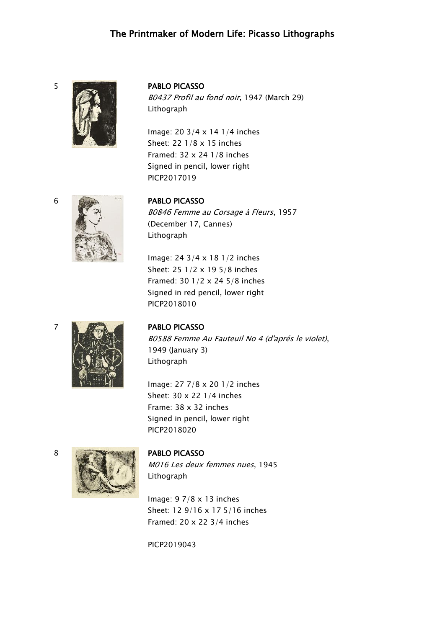## The Printmaker of Modern Life: Picasso Lithographs



B0437 Profil au fond noir, 1947 (March 29) Lithograph

Image: 20 3/4 x 14 1/4 inches Sheet: 22 1/8 x 15 inches Framed: 32 x 24 1/8 inches Signed in pencil, lower right PICP2017019

B0846 Femme au Corsage à Fleurs, 1957 (December 17, Cannes) Lithograph

Image: 24 3/4 x 18 1/2 inches Sheet: 25 1/2 x 19 5/8 inches Framed: 30 1/2 x 24 5/8 inches Signed in red pencil, lower right PICP2018010



B0588 Femme Au Fauteuil No 4 (d'aprés le violet), 1949 (January 3) Lithograph

Image: 27 7/8 x 20 1/2 inches Sheet: 30 x 22 1/4 inches Frame: 38 x 32 inches Signed in pencil, lower right PICP2018020



M016 Les deux femmes nues, 1945 Lithograph

Image: 9 7/8 x 13 inches Sheet: 12 9/16 x 17 5/16 inches Framed: 20 x 22 3/4 inches

PICP2019043